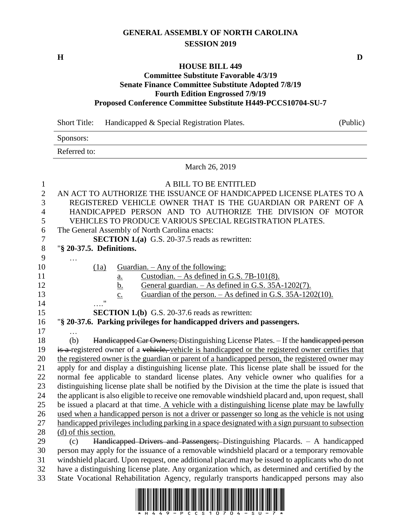## **GENERAL ASSEMBLY OF NORTH CAROLINA SESSION 2019**

## **HOUSE BILL 449**

## **Committee Substitute Favorable 4/3/19 Senate Finance Committee Substitute Adopted 7/8/19 Fourth Edition Engrossed 7/9/19 Proposed Conference Committee Substitute H449-PCCS10704-SU-7**

Short Title: Handicapped & Special Registration Plates. (Public) Sponsors: Referred to: March 26, 2019 A BILL TO BE ENTITLED AN ACT TO AUTHORIZE THE ISSUANCE OF HANDICAPPED LICENSE PLATES TO A REGISTERED VEHICLE OWNER THAT IS THE GUARDIAN OR PARENT OF A HANDICAPPED PERSON AND TO AUTHORIZE THE DIVISION OF MOTOR VEHICLES TO PRODUCE VARIOUS SPECIAL REGISTRATION PLATES. The General Assembly of North Carolina enacts: **SECTION 1.(a)** G.S. 20-37.5 reads as rewritten: "**§ 20-37.5. Definitions.** … 10 (1a) Guardian. – Any of the following:  $a.$  Custodian. – As defined in G.S. 7B-101(8). 12 b. General guardian. – As defined in G.S. 35A-1202(7). c. Guardian of the person. – As defined in G.S. 35A-1202(10). …." **SECTION 1.(b)** G.S. 20-37.6 reads as rewritten: "**§ 20-37.6. Parking privileges for handicapped drivers and passengers.** … (b) Handicapped Car Owners; Distinguishing License Plates. – If the handicapped person 19 is a registered owner of a vehicle, vehicle is handicapped or the registered owner certifies that the registered owner is the guardian or parent of a handicapped person, the registered owner may apply for and display a distinguishing license plate. This license plate shall be issued for the normal fee applicable to standard license plates. Any vehicle owner who qualifies for a distinguishing license plate shall be notified by the Division at the time the plate is issued that the applicant is also eligible to receive one removable windshield placard and, upon request, shall be issued a placard at that time. A vehicle with a distinguishing license plate may be lawfully used when a handicapped person is not a driver or passenger so long as the vehicle is not using 27 handicapped privileges including parking in a space designated with a sign pursuant to subsection (d) of this section. (c) Handicapped Drivers and Passengers; Distinguishing Placards. – A handicapped person may apply for the issuance of a removable windshield placard or a temporary removable windshield placard. Upon request, one additional placard may be issued to applicants who do not have a distinguishing license plate. Any organization which, as determined and certified by the

State Vocational Rehabilitation Agency, regularly transports handicapped persons may also

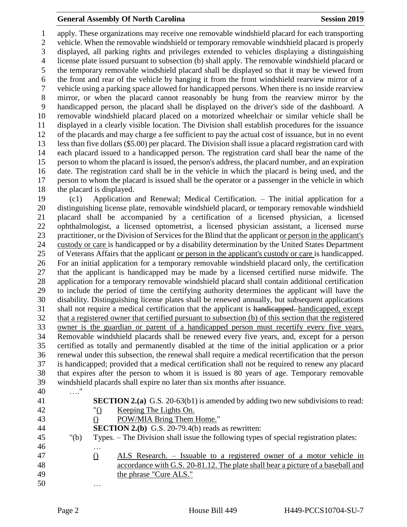## **General Assembly Of North Carolina Session 2019 Session 2019**

 apply. These organizations may receive one removable windshield placard for each transporting vehicle. When the removable windshield or temporary removable windshield placard is properly displayed, all parking rights and privileges extended to vehicles displaying a distinguishing license plate issued pursuant to subsection (b) shall apply. The removable windshield placard or the temporary removable windshield placard shall be displayed so that it may be viewed from the front and rear of the vehicle by hanging it from the front windshield rearview mirror of a vehicle using a parking space allowed for handicapped persons. When there is no inside rearview mirror, or when the placard cannot reasonably be hung from the rearview mirror by the handicapped person, the placard shall be displayed on the driver's side of the dashboard. A removable windshield placard placed on a motorized wheelchair or similar vehicle shall be displayed in a clearly visible location. The Division shall establish procedures for the issuance of the placards and may charge a fee sufficient to pay the actual cost of issuance, but in no event less than five dollars (\$5.00) per placard. The Division shall issue a placard registration card with each placard issued to a handicapped person. The registration card shall bear the name of the person to whom the placard is issued, the person's address, the placard number, and an expiration date. The registration card shall be in the vehicle in which the placard is being used, and the person to whom the placard is issued shall be the operator or a passenger in the vehicle in which the placard is displayed.

 (c1) Application and Renewal; Medical Certification. – The initial application for a distinguishing license plate, removable windshield placard, or temporary removable windshield placard shall be accompanied by a certification of a licensed physician, a licensed ophthalmologist, a licensed optometrist, a licensed physician assistant, a licensed nurse practitioner, or the Division of Services for the Blind that the applicant or person in the applicant's custody or care is handicapped or by a disability determination by the United States Department of Veterans Affairs that the applicant or person in the applicant's custody or care is handicapped. For an initial application for a temporary removable windshield placard only, the certification that the applicant is handicapped may be made by a licensed certified nurse midwife. The application for a temporary removable windshield placard shall contain additional certification to include the period of time the certifying authority determines the applicant will have the disability. Distinguishing license plates shall be renewed annually, but subsequent applications shall not require a medical certification that the applicant is handicapped. handicapped, except that a registered owner that certified pursuant to subsection (b) of this section that the registered owner is the guardian or parent of a handicapped person must recertify every five years. Removable windshield placards shall be renewed every five years, and, except for a person certified as totally and permanently disabled at the time of the initial application or a prior renewal under this subsection, the renewal shall require a medical recertification that the person is handicapped; provided that a medical certification shall not be required to renew any placard that expires after the person to whom it is issued is 80 years of age. Temporary removable windshield placards shall expire no later than six months after issuance.

| 41<br><b>SECTION 2.(a)</b> G.S. 20-63(b1) is amended by adding two new subdivisions to read:<br>42<br>Keeping The Lights On.<br>"O |  |
|------------------------------------------------------------------------------------------------------------------------------------|--|
|                                                                                                                                    |  |
|                                                                                                                                    |  |
| POW/MIA Bring Them Home."<br>43                                                                                                    |  |
| <b>SECTION 2.(b)</b> G.S. 20-79.4(b) reads as rewritten:<br>44                                                                     |  |
| 45<br>Types. – The Division shall issue the following types of special registration plates:<br>" $(b)$                             |  |
| 46<br>.                                                                                                                            |  |
| 47<br>ALS Research. – Issuable to a registered owner of a motor vehicle in<br>$\left( \ \right)$                                   |  |
| accordance with G.S. 20-81.12. The plate shall bear a picture of a baseball and<br>48                                              |  |
| 49<br>the phrase "Cure ALS."                                                                                                       |  |
| 50<br>$\cdots$                                                                                                                     |  |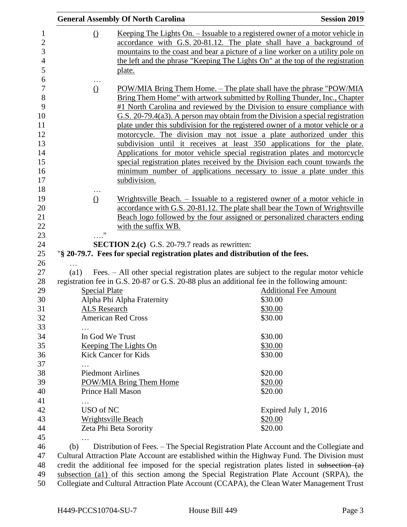|                         | <b>General Assembly Of North Carolina</b>                                                                                                                | <b>Session 2019</b>                                                                          |  |  |
|-------------------------|----------------------------------------------------------------------------------------------------------------------------------------------------------|----------------------------------------------------------------------------------------------|--|--|
| $\Omega$                |                                                                                                                                                          | Keeping The Lights On. – Issuable to a registered owner of a motor vehicle in                |  |  |
|                         |                                                                                                                                                          | accordance with G.S. 20-81.12. The plate shall have a background of                          |  |  |
|                         |                                                                                                                                                          | mountains to the coast and bear a picture of a line worker on a utility pole on              |  |  |
|                         |                                                                                                                                                          | the left and the phrase "Keeping The Lights On" at the top of the registration               |  |  |
|                         | plate.                                                                                                                                                   |                                                                                              |  |  |
| $\cdots$                |                                                                                                                                                          |                                                                                              |  |  |
| $\Omega$                |                                                                                                                                                          | POW/MIA Bring Them Home. – The plate shall have the phrase "POW/MIA                          |  |  |
|                         |                                                                                                                                                          | Bring Them Home" with artwork submitted by Rolling Thunder, Inc., Chapter                    |  |  |
|                         |                                                                                                                                                          | #1 North Carolina and reviewed by the Division to ensure compliance with                     |  |  |
|                         |                                                                                                                                                          | $G.S.$ 20-79.4(a3). A person may obtain from the Division a special registration             |  |  |
|                         | plate under this subdivision for the registered owner of a motor vehicle or a                                                                            |                                                                                              |  |  |
|                         | motorcycle. The division may not issue a plate authorized under this                                                                                     |                                                                                              |  |  |
|                         | subdivision until it receives at least 350 applications for the plate.                                                                                   |                                                                                              |  |  |
|                         | Applications for motor vehicle special registration plates and motorcycle<br>special registration plates received by the Division each count towards the |                                                                                              |  |  |
|                         |                                                                                                                                                          | minimum number of applications necessary to issue a plate under this                         |  |  |
|                         | subdivision.                                                                                                                                             |                                                                                              |  |  |
|                         |                                                                                                                                                          |                                                                                              |  |  |
| $\Omega$                |                                                                                                                                                          | Wrightsville Beach. – Issuable to a registered owner of a motor vehicle in                   |  |  |
|                         |                                                                                                                                                          | accordance with G.S. 20-81.12. The plate shall bear the Town of Wrightsville                 |  |  |
|                         |                                                                                                                                                          | Beach logo followed by the four assigned or personalized characters ending                   |  |  |
|                         | with the suffix WB.                                                                                                                                      |                                                                                              |  |  |
|                         |                                                                                                                                                          |                                                                                              |  |  |
|                         | <b>SECTION 2.(c)</b> G.S. 20-79.7 reads as rewritten:                                                                                                    |                                                                                              |  |  |
|                         | "§ 20-79.7. Fees for special registration plates and distribution of the fees.                                                                           |                                                                                              |  |  |
| $\left( a1\right)$      |                                                                                                                                                          | Fees. - All other special registration plates are subject to the regular motor vehicle       |  |  |
|                         |                                                                                                                                                          | registration fee in G.S. 20-87 or G.S. 20-88 plus an additional fee in the following amount: |  |  |
| <b>Special Plate</b>    |                                                                                                                                                          | <b>Additional Fee Amount</b>                                                                 |  |  |
|                         | Alpha Phi Alpha Fraternity                                                                                                                               | \$30.00                                                                                      |  |  |
| <b>ALS Research</b>     |                                                                                                                                                          | \$30.00                                                                                      |  |  |
|                         | <b>American Red Cross</b>                                                                                                                                | \$30.00                                                                                      |  |  |
|                         |                                                                                                                                                          |                                                                                              |  |  |
|                         | In God We Trust                                                                                                                                          | \$30.00                                                                                      |  |  |
|                         | <u>Keeping The Lights On</u>                                                                                                                             | \$30.00                                                                                      |  |  |
|                         | Kick Cancer for Kids                                                                                                                                     | \$30.00                                                                                      |  |  |
|                         |                                                                                                                                                          |                                                                                              |  |  |
|                         | <b>Piedmont Airlines</b>                                                                                                                                 | \$20.00                                                                                      |  |  |
| POW/MIA Bring Them Home |                                                                                                                                                          | \$20.00                                                                                      |  |  |
|                         | Prince Hall Mason                                                                                                                                        | \$20.00                                                                                      |  |  |
|                         |                                                                                                                                                          |                                                                                              |  |  |
| USO of NC               |                                                                                                                                                          | Expired July 1, 2016                                                                         |  |  |
|                         | <b>Wrightsville Beach</b>                                                                                                                                | \$20.00                                                                                      |  |  |
|                         | Zeta Phi Beta Sorority                                                                                                                                   | \$20.00                                                                                      |  |  |
|                         |                                                                                                                                                          |                                                                                              |  |  |
| (b)                     |                                                                                                                                                          | Distribution of Fees. – The Special Registration Plate Account and the Collegiate and        |  |  |
|                         |                                                                                                                                                          | Cultural Attraction Plate Account are established within the Highway Fund. The Division must |  |  |

48 credit the additional fee imposed for the special registration plates listed in subsection (a) subsection (a1) of this section among the Special Registration Plate Account (SRPA), the Collegiate and Cultural Attraction Plate Account (CCAPA), the Clean Water Management Trust